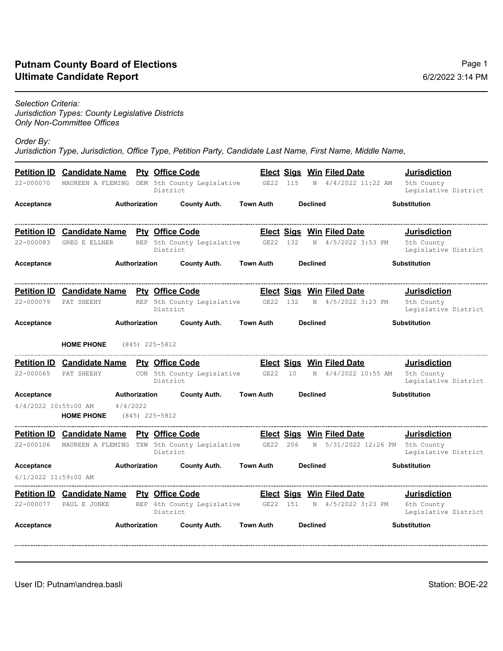## **Ultimate Candidate Report Putnam County Board of Elections**

*Jurisdiction Types: County Legislative Districts Only Non-Committee Offices*

*Order By:* 

*Jurisdiction Type, Jurisdiction, Office Type, Petition Party, Candidate Last Name, First Name, Middle Name,* 

| 22-000070            | <b>Petition ID</b> Candidate Name Pty Office Code |                      |  | District            | MAUREEN A FLEMING DEM 5th County Legislative GE22 115           |                  |                 |                 |                 | <b>Elect Sigs Win Filed Date</b><br>N 4/4/2022 11:22 AM | <b>Jurisdiction</b><br>5th County<br>Legislative District |
|----------------------|---------------------------------------------------|----------------------|--|---------------------|-----------------------------------------------------------------|------------------|-----------------|-----------------|-----------------|---------------------------------------------------------|-----------------------------------------------------------|
| Acceptance           | Authorization                                     |                      |  | <b>County Auth.</b> | <b>Town Auth</b>                                                |                  |                 | <b>Declined</b> |                 | <b>Substitution</b>                                     |                                                           |
|                      | <b>Petition ID Candidate Name Pty Office Code</b> |                      |  |                     |                                                                 |                  |                 |                 |                 | <b>Elect Sigs Win Filed Date</b>                        | <b>Jurisdiction</b>                                       |
| 22-000083            | <b>GREG E ELLNER</b>                              |                      |  | District            | REP 5th County Legislative GE22 132                             |                  |                 |                 |                 | N 4/5/2022 3:53 PM                                      | 5th County<br>Legislative District                        |
| Acceptance           | Authorization                                     |                      |  | <b>County Auth.</b> |                                                                 | <b>Town Auth</b> |                 |                 | <b>Declined</b> |                                                         | <b>Substitution</b>                                       |
|                      | <b>Petition ID</b> Candidate Name                 |                      |  |                     | <b>Pty Office Code</b>                                          |                  |                 |                 |                 | <b>Elect Sigs Win Filed Date</b>                        | <b>Jurisdiction</b>                                       |
| $22 - 000079$        | PAT SHEEHY                                        |                      |  | District            | REP 5th County Legislative GE22 132                             |                  |                 |                 |                 | N 4/5/2022 3:23 PM                                      | 5th County<br>Legislative District                        |
| Acceptance           | Authorization                                     |                      |  | <b>County Auth.</b> | <b>Town Auth</b>                                                |                  | <b>Declined</b> |                 |                 | <b>Substitution</b>                                     |                                                           |
|                      | <b>HOME PHONE</b>                                 |                      |  | $(845)$ 225-5812    |                                                                 |                  |                 |                 |                 |                                                         |                                                           |
|                      | <b>Petition ID</b> Candidate Name Pty Office Code |                      |  |                     |                                                                 |                  |                 |                 |                 | <b>Elect Sigs Win Filed Date</b>                        | <b>Jurisdiction</b>                                       |
| 22-000065            | PAT SHEEHY                                        |                      |  | District            | CON 5th County Legislative GE22                                 |                  |                 | 10              |                 | N 4/4/2022 10:55 AM                                     | 5th County<br>Legislative District                        |
| Acceptance           |                                                   | Authorization        |  |                     | <b>County Auth.</b>                                             | <b>Town Auth</b> |                 |                 | <b>Declined</b> |                                                         | <b>Substitution</b>                                       |
| 4/4/2022 10:55:00 AM | <b>HOME PHONE</b> (845) 225-5812                  | 4/4/2022             |  |                     |                                                                 |                  |                 |                 |                 |                                                         |                                                           |
|                      | Petition ID Candidate Name Pty Office Code        |                      |  |                     |                                                                 |                  |                 |                 |                 | <b>Elect Sigs Win Filed Date</b>                        | <b>Jurisdiction</b>                                       |
|                      |                                                   |                      |  | District            | 22-000106 MAUREEN A FLEMING TXW 5th County Legislative GE22 206 |                  |                 |                 |                 | N 5/31/2022 12:26 PM                                    | 5th County<br>Legislative District                        |
| Acceptance           |                                                   | Authorization        |  |                     | <b>County Auth.</b>                                             | <b>Town Auth</b> |                 |                 | <b>Declined</b> |                                                         | <b>Substitution</b>                                       |
| 6/1/2022 11:59:00 AM |                                                   |                      |  |                     |                                                                 |                  |                 |                 |                 |                                                         |                                                           |
|                      | <b>Petition ID Candidate Name Pty Office Code</b> |                      |  |                     |                                                                 |                  |                 |                 |                 | <b>Elect Sigs Win Filed Date</b>                        | <b>Jurisdiction</b>                                       |
| 22-000077            | PAUL E JONKE                                      |                      |  | District            | REP 6th County Legislative GE22 151                             |                  |                 |                 |                 | N 4/5/2022 3:23 PM                                      | 6th County<br>Legislative District                        |
| Acceptance           |                                                   | <b>Authorization</b> |  |                     | <b>County Auth.</b>                                             | <b>Town Auth</b> |                 |                 | <b>Declined</b> |                                                         | <b>Substitution</b>                                       |
|                      |                                                   |                      |  |                     |                                                                 |                  |                 |                 |                 |                                                         |                                                           |